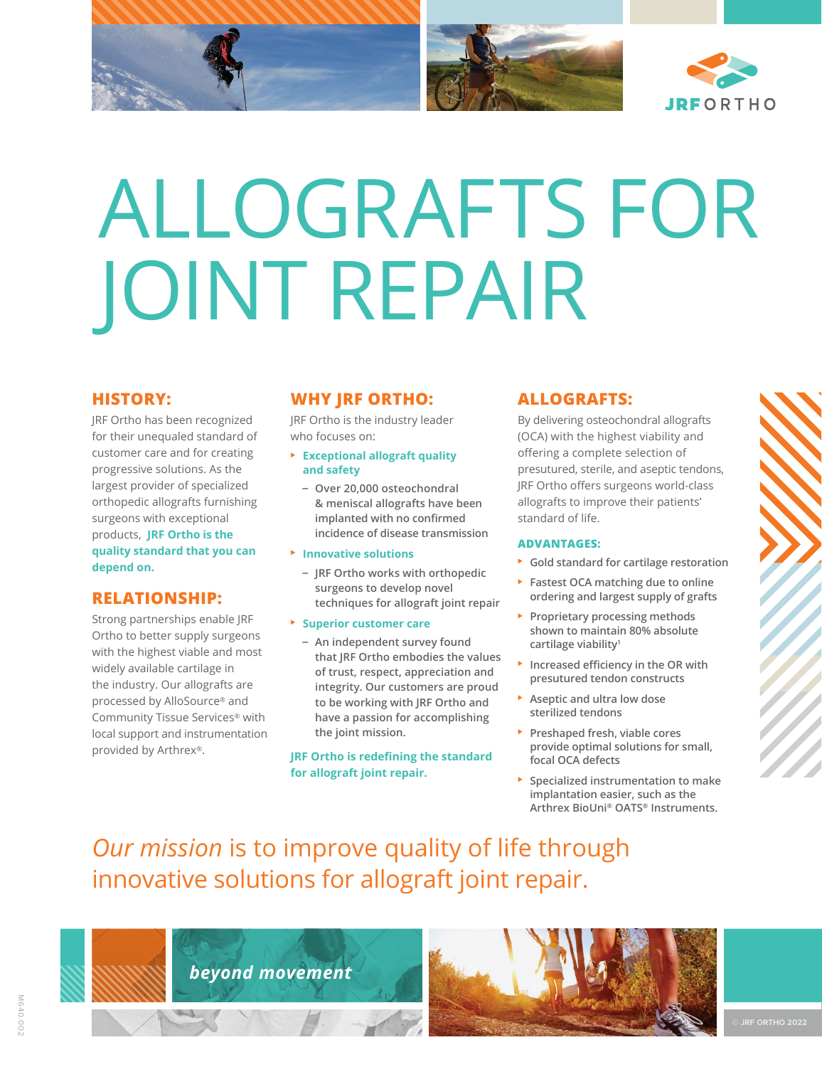

# ALLOGRAFTS FOR JOINT REPAIR

## **HISTORY:**

JRF Ortho has been recognized for their unequaled standard of customer care and for creating progressive solutions. As the largest provider of specialized orthopedic allografts furnishing surgeons with exceptional products, **JRF Ortho is the quality standard that you can depend on.**

## **RELATIONSHIP:**

Strong partnerships enable JRF Ortho to better supply surgeons with the highest viable and most widely available cartilage in the industry. Our allografts are processed by AlloSource® and Community Tissue Services® with local support and instrumentation provided by Arthrex®.

## **WHY JRF ORTHO:**

JRF Ortho is the industry leader who focuses on:

- ⊲ **Exceptional allograft quality and safety**
	- **Over 20,000 osteochondral & meniscal allografts have been implanted with no confirmed incidence of disease transmission**
- ⊲ **Innovative solutions**
	- **JRF Ortho works with orthopedic surgeons to develop novel techniques for allograft joint repair**
- ⊲ **Superior customer care**
	- **An independent survey found that JRF Ortho embodies the values of trust, respect, appreciation and integrity. Our customers are proud to be working with JRF Ortho and have a passion for accomplishing the joint mission.**

**JRF Ortho is redefining the standard for allograft joint repair.**

## **ALLOGRAFTS:**

By delivering osteochondral allografts (OCA) with the highest viability and offering a complete selection of presutured, sterile, and aseptic tendons, JRF Ortho offers surgeons world-class allografts to improve their patients' standard of life.

### **ADVANTAGES:**

- ⊲ **Gold standard for cartilage restoration**
- ⊲ **Fastest OCA matching due to online ordering and largest supply of grafts**
- ⊲ **Proprietary processing methods shown to maintain 80% absolute cartilage viability1**
- ⊲ **Increased efficiency in the OR with presutured tendon constructs**
- ⊲ **Aseptic and ultra low dose sterilized tendons**
- ⊲ **Preshaped fresh, viable cores provide optimal solutions for small, focal OCA defects**
- ⊲ **Specialized instrumentation to make implantation easier, such as the Arthrex BioUni® OATS® Instruments.**

## *Our mission* is to improve quality of life through innovative solutions for allograft joint repair.

*beyond movement*